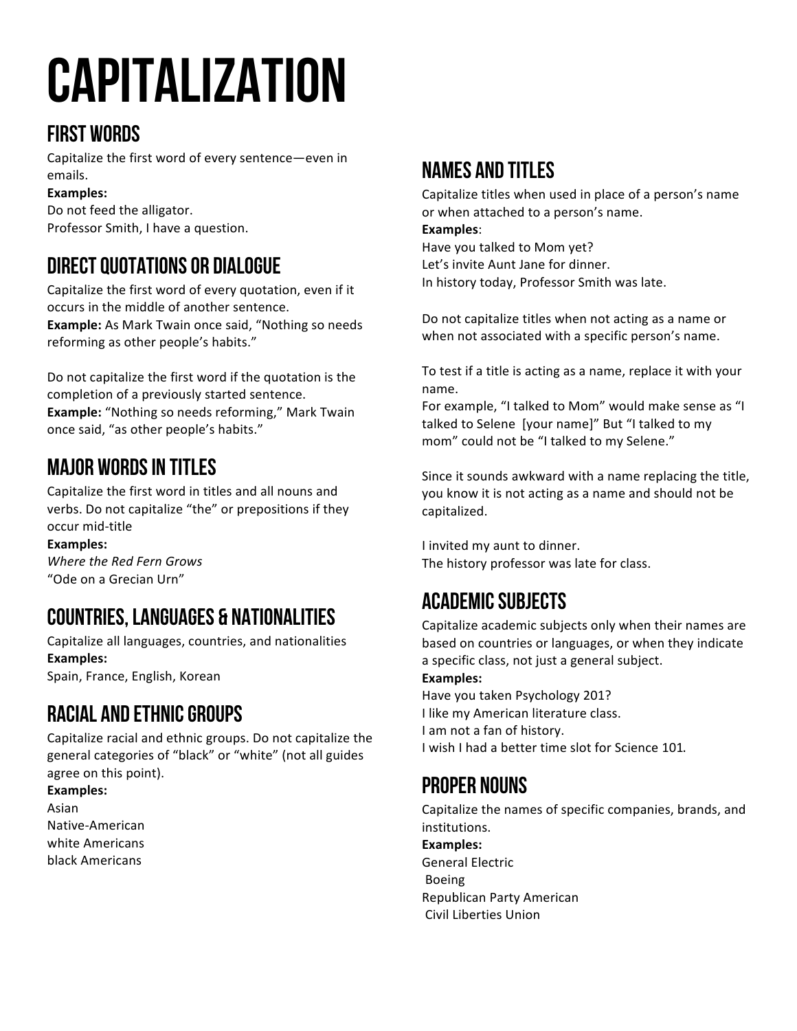# Capitalization

## First Words

Capitalize the first word of every sentence-even in emails.

**Examples:**

Do not feed the alligator. Professor Smith, I have a question.

# Direct Quotations or Dialogue

Capitalize the first word of every quotation, even if it occurs in the middle of another sentence. **Example:** As Mark Twain once said, "Nothing so needs reforming as other people's habits."

Do not capitalize the first word if the quotation is the completion of a previously started sentence. **Example:** "Nothing so needs reforming," Mark Twain once said, "as other people's habits."

## Major Words in titles

Capitalize the first word in titles and all nouns and verbs. Do not capitalize "the" or prepositions if they occur mid-title

Examples: *Where the Red Fern Grows*  "Ode on a Grecian Urn"

# Countries, Languages & Nationalities

Capitalize all languages, countries, and nationalities **Examples:** Spain, France, English, Korean

# Racial and Ethnic Groups

Capitalize racial and ethnic groups. Do not capitalize the general categories of "black" or "white" (not all guides agree on this point).

**Examples:** Asian Native-American white Americans black Americans 

#### Names and Titles

Capitalize titles when used in place of a person's name or when attached to a person's name. **Examples**: 

Have you talked to Mom yet? Let's invite Aunt Jane for dinner. In history today, Professor Smith was late.

Do not capitalize titles when not acting as a name or when not associated with a specific person's name.

To test if a title is acting as a name, replace it with your name. 

For example, "I talked to Mom" would make sense as "I talked to Selene [your name]" But "I talked to my mom" could not be "I talked to my Selene."

Since it sounds awkward with a name replacing the title, you know it is not acting as a name and should not be capitalized.

I invited my aunt to dinner. The history professor was late for class.

## Academic Subjects

Capitalize academic subjects only when their names are based on countries or languages, or when they indicate a specific class, not just a general subject.

**Examples:**

Have you taken Psychology 201? I like my American literature class. I am not a fan of history. I wish I had a better time slot for Science 101.

#### Proper Nouns

Capitalize the names of specific companies, brands, and institutions. 

Examples: General Electric Boeing Republican Party American Civil Liberties Union